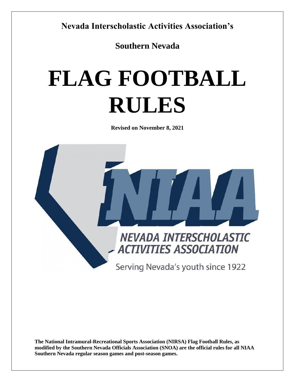**Nevada Interscholastic Activities Association's** 

**Southern Nevada**

# **FLAG FOOTBALL RULES**

**Revised on November 8, 2021**



**The National Intramural-Recreational Sports Association (NIRSA) Flag Football Rules, as modified by the Southern Nevada Officials Association (SNOA) are the official rules for all NIAA Southern Nevada regular season games and post-season games.**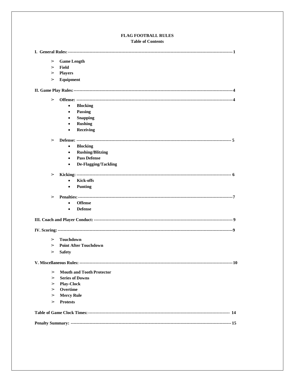#### FLAG FOOTBALL RULES **Table of Contents**

| $\triangleright$ | <b>Game Length</b>                   |
|------------------|--------------------------------------|
| $\triangleright$ | Field                                |
| ⋗                | <b>Players</b>                       |
| $\geq$           | Equipment                            |
|                  |                                      |
| $\geq$           |                                      |
|                  | <b>Blocking</b><br>$\bullet$         |
|                  | Passing<br>$\bullet$                 |
|                  | <b>Snapping</b>                      |
|                  | <b>Rushing</b><br>$\bullet$          |
|                  | Receiving<br>$\bullet$               |
| $\triangleright$ |                                      |
|                  | <b>Blocking</b><br>$\bullet$         |
|                  | <b>Rushing/Blitzing</b><br>$\bullet$ |
|                  | <b>Pass Defense</b><br>$\bullet$     |
|                  | De-Flagging/Tackling<br>$\bullet$    |
| $\geq$           |                                      |
|                  | <b>Kick-offs</b>                     |
|                  | <b>Punting</b><br>$\bullet$          |
| $\geq$           |                                      |
|                  | <b>Offense</b><br>$\bullet$          |
|                  | <b>Defense</b><br>$\bullet$          |
|                  |                                      |
|                  |                                      |
|                  |                                      |
| $\geq$           | <b>Touchdown</b>                     |
| $\geq$           | <b>Point After Touchdown</b>         |
| $\triangleright$ | <b>Safety</b>                        |
|                  |                                      |
| ➢                | <b>Mouth and Tooth Protector</b>     |
| $\triangleright$ | <b>Series of Downs</b>               |
| ➢<br>➢           | <b>Play-Clock</b><br>Overtime        |
| ➢                | <b>Mercy Rule</b>                    |
| ➢                | <b>Protests</b>                      |
|                  |                                      |
|                  |                                      |
|                  |                                      |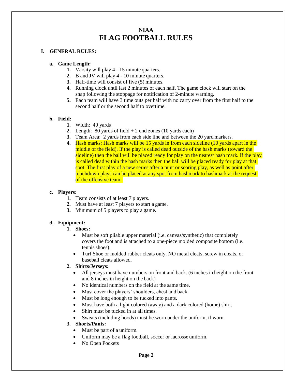## **NIAA FLAG FOOTBALL RULES**

#### **I. GENERAL RULES:**

#### **a. Game Length:**

- **1.** Varsity will play 4 15 minute quarters.
- **2.** B and JV will play 4 10 minute quarters.
- **3.** Half-time will consist of five (5) minutes.
- **4.** Running clock until last 2 minutes of each half. The game clock will start on the snap following the stoppage for notification of 2-minute warning.
- **5.** Each team will have 3 time outs per half with no carry over from the first half to the second half or the second half to overtime.

#### **b. Field:**

- **1.** Width: 40 yards
- **2.** Length: 80 yards of field  $+2$  end zones (10 yards each)
- **3.** Team Area: 2 yards from each side line and between the 20 yard markers.
- **4.** Hash marks: Hash marks will be 15 yards in from each sideline (10 yards apart in the middle of the field). If the play is called dead outside of the hash marks (toward the sideline) then the ball will be placed ready for play on the nearest hash mark. If the play is called dead within the hash marks then the ball will be placed ready for play at that spot. The first play of a new series after a punt or scoring play, as well as point after touchdown plays can be placed at any spot from hashmark to hashmark at the request of the offensive team.

#### **c. Players:**

- **1.** Team consists of at least 7 players.
- **2.** Must have at least 7 players to start a game.
- **3.** Minimum of 5 players to play a game.

#### **d. Equipment:**

#### **1. Shoes:**

- Must be soft pliable upper material (i.e. canvas/synthetic) that completely covers the foot and is attached to a one-piece molded composite bottom (i.e. tennis shoes).
- Turf Shoe or molded rubber cleats only. NO metal cleats, screw in cleats, or baseball cleats allowed.

#### **2. Shirts/Jerseys:**

- All jerseys must have numbers on front and back. (6 inches in height on the front and 8 inches in height on the back)
- No identical numbers on the field at the same time.
- Must cover the players' shoulders, chest and back.
- Must be long enough to be tucked into pants.
- Must have both a light colored (away) and a dark colored (home) shirt.
- Shirt must be tucked in at all times.
- Sweats (including hoods) must be worn under the uniform, if worn.

#### **3. Shorts/Pants:**

- Must be part of a uniform.
- Uniform may be a flag football, soccer or lacrosse uniform.
- No Open Pockets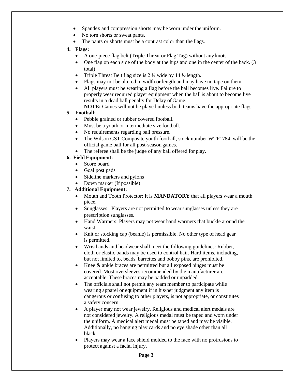- Spandex and compression shorts may be worn under the uniform.
- No torn shorts or sweat pants.
- The pants or shorts must be a contrast color than the flags.
- **4. Flags:**
	- A one-piece flag belt (Triple Threat or Flag Tag) without any knots.
	- One flag on each side of the body at the hips and one in the center of the back. (3) total)
	- Triple Threat Belt flag size is  $2\frac{1}{4}$  wide by  $14\frac{1}{2}$  length.
	- Flags may not be altered in width or length and may have no tape on them.
	- All players must be wearing a flag before the ball becomes live. Failure to properly wear required player equipment when the ball is about to become live results in a dead ball penalty for Delay of Game.
		- **NOTE:** Games will not be played unless both teams have the appropriate flags.

#### **5. Football:**

- Pebble grained or rubber covered football.
- Must be a youth or intermediate size football.
- No requirements regarding ball pressure.
- The Wilson GST Composite youth football, stock number WTF1784, will be the official game ball for all post-season games.
- The referee shall be the judge of any ball offered for play.

#### **6. Field Equipment:**

- Score board
- Goal post pads
- Sideline markers and pylons
- Down marker (If possible)

#### **7. Additional Equipment:**

- Mouth and Tooth Protector: It is **MANDATORY** that all players wear a mouth piece.
- Sunglasses: Players are not permitted to wear sunglasses unless they are prescription sunglasses.
- Hand Warmers: Players may not wear hand warmers that buckle around the waist.
- Knit or stocking cap (beanie) is permissible. No other type of head gear is permitted.
- Wristbands and headwear shall meet the following guidelines: Rubber, cloth or elastic bands may be used to control hair. Hard items, including, but not limited to, beads, barrettes and bobby pins, are prohibited.
- Knee & ankle braces are permitted but all exposed hinges must be covered. Most oversleeves recommended by the manufacturer are acceptable. These braces may be padded or unpadded.
- The officials shall not permit any team member to participate while wearing apparel or equipment if in his/her judgment any item is dangerous or confusing to other players, is not appropriate, or constitutes a safety concern.
- A player may not wear jewelry. Religious and medical alert medals are not considered jewelry. A religious medal must be taped and worn under the uniform. A medical alert medal must be taped and may be visible. Additionally, no hanging play cards and no eye shade other than all black.
- Players may wear a face shield molded to the face with no protrusions to protect against a facial injury.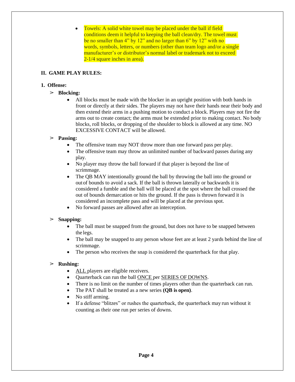• Towels: A solid white towel may be placed under the ball if field conditions deem it helpful to keeping the ball clean/dry. The towel must be no smaller than 4" by 12" and no larger than 6" by 12" with no words, symbols, letters, or numbers (other than team logo and/or a single manufacturer's or distributor's normal label or trademark not to exceed 2-1/4 square inches in area).

#### **II. GAME PLAY RULES:**

#### **1. Offense:**

#### ➢ **Blocking:**

 All blocks must be made with the blocker in an upright position with both hands in front or directly at their sides. The players may not have their hands near their body and then extend their arms in a pushing motion to conduct a block. Players may not fire the arms out to create contact; the arms must be extended prior to making contact. No body blocks, roll blocks, or dropping of the shoulder to block is allowed at any time. NO EXCESSIVE CONTACT will be allowed.

#### ➢ **Passing:**

- The offensive team may NOT throw more than one forward pass per play.
- The offensive team may throw an unlimited number of backward passes during any play.
- No player may throw the ball forward if that player is beyond the line of scrimmage.
- The QB MAY intentionally ground the ball by throwing the ball into the ground or outof bounds to avoid a sack. If the ball is thrown laterally or backwards it is considered a fumble and the ball will be placed at the spot where the ball crossed the out of bounds demarcation or hits the ground. If the pass is thrown forward it is considered an incomplete pass and will be placed at the previous spot.
- No forward passes are allowed after an interception.

#### ➢ **Snapping:**

- The ball must be snapped from the ground, but does not have to be snapped between the legs.
- The ball may be snapped to any person whose feet are at least 2 yards behind the line of scrimmage.
- The person who receives the snap is considered the quarterback for that play.

#### ➢ **Rushing:**

- ALL players are eligible receivers.
- Ouarterback can run the ball ONCE per SERIES OF DOWNS.
- There is no limit on the number of times players other than the quarterback can run.
- The PAT shall be treated as a new series **(QB is open)**.
- No stiff arming.
- If a defense "blitzes" or rushes the quarterback, the quarterback may run without it counting as their one run per series of downs.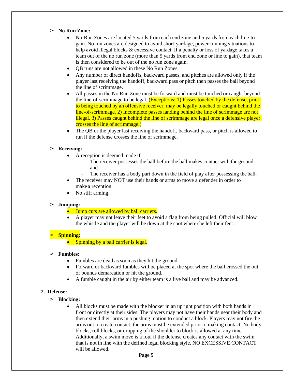#### ➢ **No Run Zone:**

- No-Run Zones are located 5 yards from each end zone and 5 yards from each line-togain. No run zones are designed to avoid short-yardage, power-running situations to help avoid illegal blocks & excessive contact. If a penalty or loss of yardage takes a team out of the no run zone (more than 5 yards from end zone or line to gain), that team is then considered to be out of the no run zone again.
- QB runs are not allowed in these No Run Zones.
- Any number of direct handoffs, backward passes, and pitches are allowed only if the player last receiving the handoff, backward pass or pitch then passes the ball beyond the line of scrimmage.
- All passes in the No Run Zone must be forward and must be touched or caught beyond the line-of-scrimmage to be legal. (Exceptions: 1) Passes touched by the defense, prior to being touched by an offensive receiver, may be legally touched or caught behind the line-of-scrimmage. 2) Incomplete passes landing behind the line of scrimmage are not illegal. 3) Passes caught behind the line of scrimmage are legal once a defensive player crosses the line of scrimmage.)
- The QB or the player last receiving the handoff, backward pass, or pitch is allowed to run if the defense crosses the line of scrimmage.

#### ➢ **Receiving:**

- A reception is deemed made if:
	- The receiver possesses the ball before the ball makes contact with the ground and
	- The receiver has a body part down in the field of play after possessing the ball.
- The receiver may NOT use their hands or arms to move a defender in order to make a reception.
- No stiff arming.

#### ➢ **Jumping:**

- Jump cuts are allowed by ball carriers.
- A player may not leave their feet to avoid a flag from being pulled. Official will blow the whistle and the player will be down at the spot where she left their feet.

#### ➢ **Spinning:**

• Spinning by a ball carrier is legal.

#### ➢ **Fumbles:**

- Fumbles are dead as soon as they hit the ground.
- Forward or backward fumbles will be placed at the spot where the ball crossed the out of bounds demarcation or hit the ground.
- A fumble caught in the air by either team is a live ball and may be advanced.

#### **2. Defense:**

- ➢ **Blocking:**
	- All blocks must be made with the blocker in an upright position with both hands in front or directly at their sides. The players may not have their hands near their body and then extend their arms in a pushing motion to conduct a block. Players may not fire the arms out to create contact; the arms must be extended prior to making contact. No body blocks, roll blocks, or dropping of the shoulder to block is allowed at any time. Additionally, a swim move is a foul if the defense creates any contact with the swim that is not in line with the defined legal blocking style. NO EXCESSIVE CONTACT will be allowed.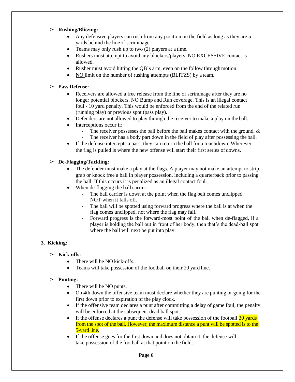#### ➢ **Rushing/Blitzing:**

- Any defensive players can rush from any position on the field as long as they are 5 yards behind the lineof scrimmage.
- Teams may only rush up to two (2) players at a time.
- Rushers must attempt to avoid any blockers/players. NO EXCESSIVE contact is allowed.
- Rusher must avoid hitting the OB's arm, even on the follow through motion.
- NO limit on the number of rushing attempts (BLITZS) by a team.

#### ➢ **Pass Defense:**

- Receivers are allowed a free release from the line of scrimmage after they are no longer potential blockers. NO Bump and Run coverage. This is an illegal contact foul - 10 yard penalty. This would be enforced from the end of the related run (running play) or previous spot (pass play).
- Defenders are not allowed to play through the receiver to make a play on the ball.
- Interceptions occur if:
	- The receiver possesses the ball before the ball makes contact with the ground, &
	- The receiver has a body part down in the field of play after possessing the ball.
- If the defense intercepts a pass, they can return the ball for a touchdown. Wherever the flag is pulled is where the new offense will start their first series of downs.

#### ➢ **De-Flagging/Tackling:**

- The defender must make a play at the flags. A player may not make an attempt to strip, grab or knock free a ball in player possession, including a quarterback prior to passing the ball. If this occurs it is penalized as an illegal contact foul.
- When de-flagging the ball carrier:
	- The ball carrier is down at the point when the flag belt comes unclipped, NOT when it falls off.
	- The ball will be spotted using forward progress where the ball is at when the flag comes unclipped, not where the flag may fall.
	- Forward progress is the forward-most point of the ball when de-flagged, if a player is holding the ball out in front of her body, then that's the dead-ball spot where the ball will next be put into play.

#### **3. Kicking:**

#### ➢ **Kick-offs:**

- There will be NO kick-offs.
- Teams will take possession of the football on their 20 yard line.

#### ➢ **Punting:**

- There will be NO punts.
- On 4th down the offensive team must declare whether they are punting or going for the first down prior to expiration of the play clock.
- If the offensive team declares a punt after committing a delay of game foul, the penalty will be enforced at the subsequent dead ball spot.
- If the offense declares a punt the defense will take possession of the football  $\frac{120 \text{ yards}}{20 \text{ yards}}$ from the spot of the ball. However, the maximum distance a punt will be spotted is to the 5-yard line.
- If the offense goes for the first down and does not obtain it, the defense will take possession of the football at that point on the field.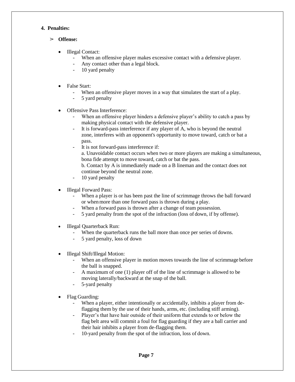#### **4. Penalties:**

- ➢ **Offense:**
	- Illegal Contact:
		- When an offensive player makes excessive contact with a defensive player.
		- Any contact other than a legal block.
		- 10 yard penalty
	- False Start:
		- When an offensive player moves in a way that simulates the start of a play.
		- 5 yard penalty
	- Offensive Pass Interference:
		- When an offensive player hinders a defensive player's ability to catch a pass by making physical contact with the defensive player.
		- It is forward-pass interference if any player of A, who is beyond the neutral zone, interferes with an opponent's opportunity to move toward, catch or bat a pass.
		- It is not forward-pass interference if:

a. Unavoidable contact occurs when two or more players are making a simultaneous, bona fide attempt to move toward, catch or bat the pass.

b. Contact by A is immediately made on a B lineman and the contact does not continue beyond the neutral zone.

- 10 yard penalty
- Illegal Forward Pass:
	- When a player is or has been past the line of scrimmage throws the ball forward or whenmore than one forward pass is thrown during a play.
	- When a forward pass is thrown after a change of team possession.
	- 5 yard penalty from the spot of the infraction (loss of down, if by offense).
- Illegal Quarterback Run:
	- When the quarterback runs the ball more than once per series of downs.
	- 5 yard penalty, loss of down
- Illegal Shift/Illegal Motion:
	- When an offensive player in motion moves towards the line of scrimmage before the ball is snapped.
	- A maximum of one (1) player off of the line of scrimmage is allowed to be moving laterally/backward at the snap of the ball.
	- 5-yard penalty
- Flag Guarding:
	- When a player, either intentionally or accidentally, inhibits a player from deflagging them by the use of their hands, arms, etc. (including stiff arming).
	- Player's that have hair outside of their uniform that extends to or below the flag belt area will commit a foul for flag guarding if they are a ball carrier and their hair inhibits a player from de-flagging them.
	- 10-yard penalty from the spot of the infraction, loss of down.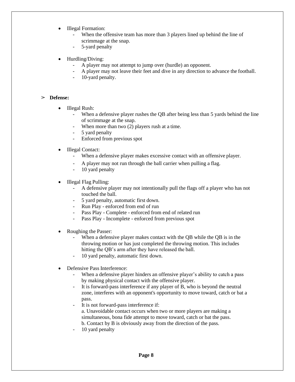- Illegal Formation:
	- When the offensive team has more than 3 players lined up behind the line of scrimmage at the snap.
	- 5-yard penalty
- Hurdling/Diving:
	- A player may not attempt to jump over (hurdle) an opponent.
	- A player may not leave their feet and dive in any direction to advance the football.
	- 10-yard penalty.

#### ➢ **Defense:**

- Illegal Rush:
	- When a defensive player rushes the QB after being less than 5 yards behind the line of scrimmage at the snap.
	- When more than two (2) players rush at a time.
	- 5 yard penalty
	- Enforced from previous spot
- Illegal Contact:
	- When a defensive player makes excessive contact with an offensive player.
	- A player may not run through the ball carrier when pulling a flag.
	- 10 yard penalty
- Illegal Flag Pulling:
	- A defensive player may not intentionally pull the flags off a player who has not touched the ball.
	- 5 yard penalty, automatic first down.
	- Run Play enforced from end of run
	- Pass Play Complete enforced from end of related run
	- Pass Play Incomplete enforced from previous spot
- Roughing the Passer:
	- When a defensive player makes contact with the QB while the QB is in the throwing motion or has just completed the throwing motion. This includes hitting the QB's arm after they have released the ball.
	- 10 yard penalty, automatic first down.
- Defensive Pass Interference:
	- When a defensive player hinders an offensive player's ability to catch a pass by making physical contact with the offensive player.
	- It is forward-pass interference if any player of B, who is beyond the neutral zone, interferes with an opponent's opportunity to move toward, catch or bat a pass.
	- It is not forward-pass interference if:
		- a. Unavoidable contact occurs when two or more players are making a simultaneous, bona fide attempt to move toward, catch or bat the pass. b. Contact by B is obviously away from the direction of the pass.
	- 10 yard penalty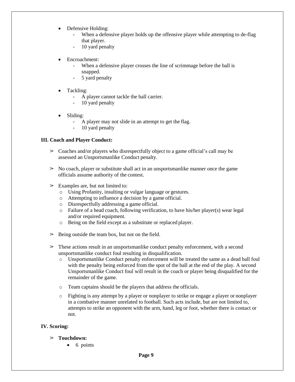- Defensive Holding:
	- When a defensive player holds up the offensive player while attempting to de-flag that player.
	- 10 yard penalty
- Encroachment:
	- When a defensive player crosses the line of scrimmage before the ball is snapped.
	- 5 yard penalty
- Tackling:
	- A player cannot tackle the ball carrier.
	- 10 yard penalty
- Sliding:
	- A player may not slide in an attempt to get the flag.
	- 10 yard penalty

#### **III. Coach and Player Conduct:**

- $\geq$  Coaches and/or players who disrespectfully object to a game official's call may be assessed an Unsportsmanlike Conduct penalty.
- $\geq$  No coach, player or substitute shall act in an unsportsmanlike manner once the game officials assume authority of the contest.
- $\geq$  Examples are, but not limited to:
	- o Using Profanity, insulting or vulgar language or gestures.
	- o Attempting to influence a decision by a game official.
	- o Disrespectfully addressing a game official.
	- $\circ$  Failure of a head coach, following verification, to have his/her player(s) wear legal and/or required equipment.
	- o Being on the field except as a substitute or replaced player.
- $\geq$  Being outside the team box, but not on the field.
- $\geq$  These actions result in an unsportsmanlike conduct penalty enforcement, with a second unsportsmanlike conduct foul resulting in disqualification.
	- o Unsportsmanlike Conduct penalty enforcement will be treated the same as a dead ball foul with the penalty being enforced from the spot of the ball at the end of the play. A second Unsportsmanlike Conduct foul will result in the coach or player being disqualified for the remainder of the game.
	- o Team captains should be the players that address the officials.
	- o Fighting is any attempt by a player or nonplayer to strike or engage a player or nonplayer in a combative manner unrelated to football. Such acts include, but are not limited to, attempts to strike an opponent with the arm, hand, leg or foot, whether there is contact or not.

#### **IV. Scoring:**

- ➢ **Touchdown:**
	- 6 points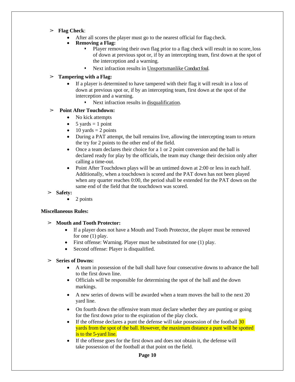- ➢ **Flag Check**:
	- After all scores the player must go to the nearest official for flag check.
	- **Removing a Flag:**
		- Player removing their own flag prior to a flag check will result in no score, loss of down at previous spot or, if by an intercepting team, first down at the spot of the interception and a warning.
		- Next infraction results in Unsportsmanlike Conduct foul.

#### ➢ **Tampering with a Flag:**

- If a player is determined to have tampered with their flag it will result in a loss of down at previous spot or, if by an intercepting team, first down at the spot of the interception and a warning.
	- Next infraction results in disqualification.

#### ➢ **Point After Touchdown:**

- No kick attempts
- $\bullet$  5 yards = 1 point
- $\bullet$  10 yards = 2 points
- During a PAT attempt, the ball remains live, allowing the intercepting team to return the try for 2 points to the other end of the field.
- Once a team declares their choice for a 1 or 2 point conversion and the ball is declared ready for play by the officials, the team may change their decision only after calling a time-out.
- Point After Touchdown plays will be an untimed down at 2:00 or less in each half. Additionally, when a touchdown is scored and the PAT down has not been played when any quarter reaches 0:00, the period shall be extended for the PAT down on the same end of the field that the touchdown was scored.
- ➢ **Safety:**
	- 2 points

#### **Miscellaneous Rules:**

- ➢ **Mouth and Tooth Protector:**
	- If a player does not have a Mouth and Tooth Protector, the player must be removed for one (1) play.
	- First offense: Warning. Player must be substituted for one (1) play.
	- Second offense: Player is disqualified.

#### ➢ **Series of Downs:**

- A team in possession of the ball shall have four consecutive downs to advance the ball to the first down line.
- Officials will be responsible for determining the spot of the ball and the down markings.
- A new series of downs will be awarded when a team moves the ball to the next 20 yard line.
- On fourth down the offensive team must declare whether they are punting or going for the first down prior to the expiration of the play clock.
- If the offense declares a punt the defense will take possession of the football  $\overline{30}$ yards from the spot of the ball. However, the maximum distance a punt will be spotted is to the 5-yard line.
- If the offense goes for the first down and does not obtain it, the defense will take possession of the football at that point on the field.

#### **Page 10**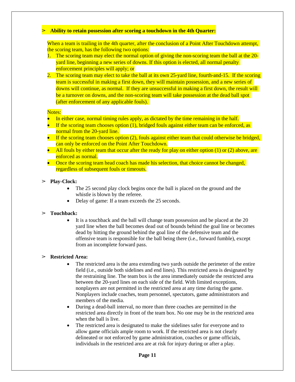#### ➢ **Ability to retain possession after scoring a touchdown in the 4th Quarter:**

When a team is trailing in the 4th quarter, after the conclusion of a Point After Touchdown attempt, the scoring team, has the following two options:

- 1. The scoring team may elect the normal option of giving the non-scoring team the ball at the 20 yard line, beginning a new series of downs. If this option is elected, all normal penalty enforcement principles will apply; or
- 2. The scoring team may elect to take the ball at its own 25-yard line, fourth-and-15. If the scoring team is successful in making a first down, they will maintain possession, and a new series of downs will continue, as normal. If they are unsuccessful in making a first down, the result will be a turnover on downs, and the non-scoring team will take possession at the dead ball spot (after enforcement of any applicable fouls).

#### Notes:

- In either case, normal timing rules apply, as dictated by the time remaining in the half.
- $\bullet$  If the scoring team chooses option (1), bridged fouls against either team can be enforced, as normal from the 20-yard line.
- $\bullet$  If the scoring team chooses option (2), fouls against either team that could otherwise be bridged, can only be enforced on the Point After Touchdown.
- All fouls by either team that occur after the ready for play on either option  $(1)$  or  $(2)$  above, are enforced as normal.
- Once the scoring team head coach has made his selection, that choice cannot be changed, regardless of subsequent fouls or timeouts.

#### ➢ **Play-Clock:**

- The 25 second play clock begins once the ball is placed on the ground and the whistle is blown by the referee.
- Delay of game: If a team exceeds the 25 seconds.

#### ➢ **Touchback:**

 It is a touchback and the ball will change team possession and be placed at the 20 yard line when the ball becomes dead out of bounds behind the goal line or becomes dead by hitting the ground behind the goal line of the defensive team and the offensive team is responsible for the ball being there (i.e., forward fumble), except from an incomplete forward pass.

#### ➢ **Restricted Area:**

- The restricted area is the area extending two yards outside the perimeter of the entire field (i.e., outside both sidelines and end lines). This restricted area is designated by the restraining line. The team box is the area immediately outside the restricted area between the 20-yard lines on each side of the field. With limited exceptions, nonplayers are not permitted in the restricted area at any time during the game. Nonplayers include coaches, team personnel, spectators, game administrators and members of the media.
- During a dead-ball interval, no more than three coaches are permitted in the restricted area directly in front of the team box. No one may be in the restricted area when the ball is live.
- The restricted area is designated to make the sidelines safer for everyone and to allow game officials ample room to work. If the restricted area is not clearly delineated or not enforced by game administration, coaches or game officials, individuals in the restricted area are at risk for injury during or after a play.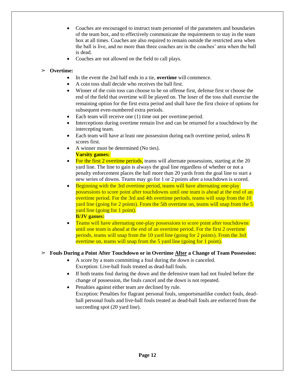- Coaches are encouraged to instruct team personnel of the parameters and boundaries of the team box, and to effectively communicate the requirements to stay in the team box at all times. Coaches are also required to remain outside the restricted area when the ball is live, and no more than three coaches are in the coaches' area when the ball is dead.
- Coaches are not allowed on the field to call plays.

#### ➢ **Overtime:**

- In the event the 2nd half ends in a tie, **overtime** will commence.
- A coin toss shall decide who receives the ball first.
- Winner of the coin toss can choose to be on offense first, defense first or choose the end of the field that overtime will be played on. The loser of the toss shall exercise the remaining option for the first extra period and shall have the first choice of options for subsequent even-numbered extra periods.
- Each team will receive one (1) time out per overtime period.
- Interceptions during overtime remain live and can be returned for a touchdown by the intercepting team.
- Each team will have at least one possession during each overtime period, unless B scores first.
- A winner must be determined (No ties). **Varsity games:**
- For the first 2 overtime periods, teams will alternate possessions, starting at the 20 yard line. The line to gain is always the goal line regardless of whether or not a penalty enforcement places the ball more than 20 yards from the goal line to start a new series of downs. Teams may go for 1 or 2 points after a touchdown is scored.
- Beginning with the 3rd overtime period, teams will have alternating one-play possessions to score point after touchdowns until one team is ahead at the end of an overtime period. For the 3rd and 4th overtime periods, teams will snap from the 10 yard line (going for 2 points). From the 5th overtime on, teams will snap from the 5 yard line (going for 1 point). **B/JV games:**
- Teams will have alternating one-play possessions to score point after touchdowns until one team is ahead at the end of an overtime period. For the first 2 overtime periods, teams will snap from the 10 yard line (going for 2 points). From the 3rd overtime on, teams will snap from the 5 yard line (going for 1 point).

#### ➢ **Fouls During a Point After Touchdown or in Overtime After a Change of Team Possession:**

- A score by a team committing a foul during the down is canceled. Exception: Live-ball fouls treated as dead-ball fouls.
- If both teams foul during the down and the defensive team had not fouled before the change of possession, the fouls cancel and the down is not repeated.
- Penalties against either team are declined by rule. Exception: Penalties for flagrant personal fouls, unsportsmanlike conduct fouls, deadball personal fouls and live-ball fouls treated as dead-ball fouls are enforced from the succeeding spot (20 yard line).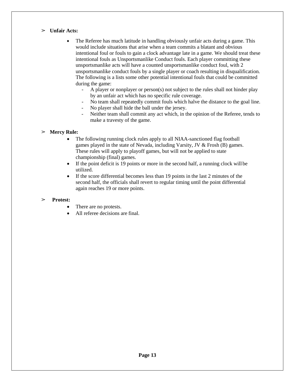#### ➢ **Unfair Acts:**

- The Referee has much latitude in handling obviously unfair acts during a game. This would include situations that arise when a team commits a blatant and obvious intentional foul or fouls to gain a clock advantage late in a game. We should treat these intentional fouls as Unsportsmanlike Conduct fouls. Each player committing these unsportsmanlike acts will have a counted unsportsmanlike conduct foul, with 2 unsportsmanlike conduct fouls by a single player or coach resulting in disqualification. The following is a lists some other potential intentional fouls that could be committed during the game:
	- A player or nonplayer or person(s) not subject to the rules shall not hinder play by an unfair act which has no specific rule coverage.
	- No team shall repeatedly commit fouls which halve the distance to the goal line.
	- No player shall hide the ball under the jersey.
	- Neither team shall commit any act which, in the opinion of the Referee, tends to make a travesty of the game.

#### ➢ **Mercy Rule:**

- The following running clock rules apply to all NIAA-sanctioned flag football games played in the state of Nevada, including Varsity, JV & Frosh (B) games. These rules will apply to playoff games, but will not be applied to state championship (final) games.
- If the point deficit is 19 points or more in the second half, a running clock will be utilized.
- If the score differential becomes less than 19 points in the last 2 minutes of the second half, the officials shall revert to regular timing until the point differential again reaches 19 or more points.

#### ➢ **Protest:**

- There are no protests.
- All referee decisions are final.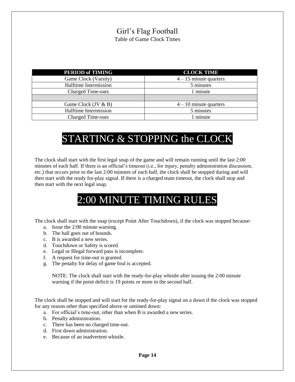## Girl's Flag Football Table of Game Clock Times

| <b>PERIOD of TIMING</b>  | <b>CLOCK TIME</b>        |
|--------------------------|--------------------------|
| Game Clock (Varsity)     | $4 - 15$ minute quarters |
| Halftime Intermission    | 5 minutes                |
| <b>Charged Time-outs</b> | 1 minute                 |
|                          |                          |
| Game Clock $(JV \& B)$   | $4 - 10$ minute quarters |
| Halftime Intermission    | 5 minutes                |
| <b>Charged Time-outs</b> | 1 minute                 |

# STARTING & STOPPING the CLOCK

The clock shall start with the first legal snap of the game and will remain running until the last 2:00 minutes of each half. If there is an official's timeout (i.e., for injury, penalty administration discussion, etc.) that occurs prior to the last 2:00 minutes of each half, the clock shall be stopped during and will then start with the ready for-play signal. If there is a charged team timeout, the clock shall stop and then start with the next legal snap.

# 2:00 MINUTE TIMING RULES

The clock shall start with the snap (except Point After Touchdown), if the clock was stopped because:

- a. Issue the 2:00 minute warning.
- b. The ball goes out of bounds.
- c. B is awarded a new series.
- d. Touchdown or Safety is scored.
- e. Legal or Illegal forward pass is incomplete.
- f. A request for time-out is granted.
- g. The penalty for delay of game foul is accepted.

NOTE: The clock shall start with the ready-for-play whistle after issuing the 2:00 minute warning if the point deficit is 19 points or more in the second half.

The clock shall be stopped and will start for the ready-for-play signal on a down if the clock was stopped for any reason other than specified above or untimed down:

- a. For official's time-out, other than when B is awarded a new series.
- b. Penalty administration.
- c. There has been no charged time-out.
- d. First down administration.
- e. Because of an inadvertent whistle.